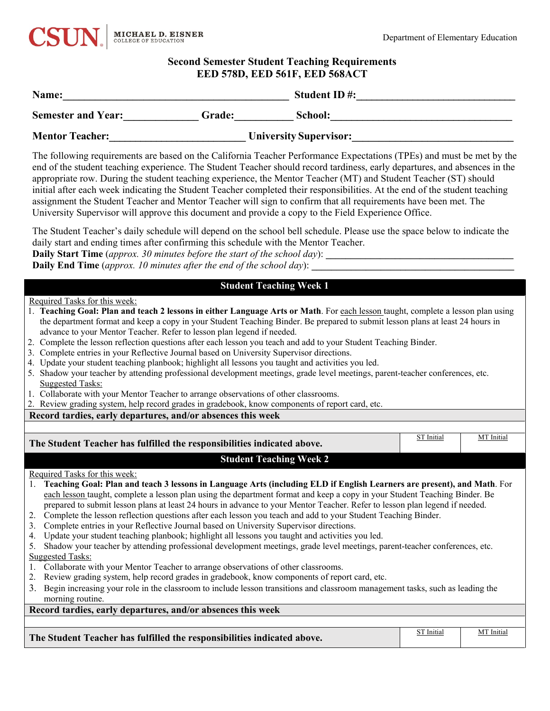

# **Second Semester Student Teaching Requirements EED 578D, EED 561F, EED 568ACT**

| Name:<br>Semester and Year: Grade: School: School:<br>Mentor Teacher: University Supervisor:<br>The following requirements are based on the California Teacher Performance Expectations (TPEs) and must be met by the<br>end of the student teaching experience. The Student Teacher should record tardiness, early departures, and absences in the<br>appropriate row. During the student teaching experience, the Mentor Teacher (MT) and Student Teacher (ST) should<br>initial after each week indicating the Student Teacher completed their responsibilities. At the end of the student teaching<br>assignment the Student Teacher and Mentor Teacher will sign to confirm that all requirements have been met. The<br>University Supervisor will approve this document and provide a copy to the Field Experience Office.<br>The Student Teacher's daily schedule will depend on the school bell schedule. Please use the space below to indicate the<br>daily start and ending times after confirming this schedule with the Mentor Teacher.<br><b>Daily End Time</b> (approx. 10 minutes after the end of the school day):<br><b>Student Teaching Week 1</b><br>the department format and keep a copy in your Student Teaching Binder. Be prepared to submit lesson plans at least 24 hours in<br>advance to your Mentor Teacher. Refer to lesson plan legend if needed.<br><b>Suggested Tasks:</b> | <b>EED 578D, EED 561F, EED 568ACT</b> |  |  |  |  |
|--------------------------------------------------------------------------------------------------------------------------------------------------------------------------------------------------------------------------------------------------------------------------------------------------------------------------------------------------------------------------------------------------------------------------------------------------------------------------------------------------------------------------------------------------------------------------------------------------------------------------------------------------------------------------------------------------------------------------------------------------------------------------------------------------------------------------------------------------------------------------------------------------------------------------------------------------------------------------------------------------------------------------------------------------------------------------------------------------------------------------------------------------------------------------------------------------------------------------------------------------------------------------------------------------------------------------------------------------------------------------------------------------------------|---------------------------------------|--|--|--|--|
|                                                                                                                                                                                                                                                                                                                                                                                                                                                                                                                                                                                                                                                                                                                                                                                                                                                                                                                                                                                                                                                                                                                                                                                                                                                                                                                                                                                                              |                                       |  |  |  |  |
| Required Tasks for this week:<br>1. Teaching Goal: Plan and teach 2 lessons in either Language Arts or Math. For each lesson taught, complete a lesson plan using<br>2. Complete the lesson reflection questions after each lesson you teach and add to your Student Teaching Binder.<br>3. Complete entries in your Reflective Journal based on University Supervisor directions.<br>4. Update your student teaching planbook; highlight all lessons you taught and activities you led.<br>5. Shadow your teacher by attending professional development meetings, grade level meetings, parent-teacher conferences, etc.                                                                                                                                                                                                                                                                                                                                                                                                                                                                                                                                                                                                                                                                                                                                                                                    |                                       |  |  |  |  |
|                                                                                                                                                                                                                                                                                                                                                                                                                                                                                                                                                                                                                                                                                                                                                                                                                                                                                                                                                                                                                                                                                                                                                                                                                                                                                                                                                                                                              |                                       |  |  |  |  |
|                                                                                                                                                                                                                                                                                                                                                                                                                                                                                                                                                                                                                                                                                                                                                                                                                                                                                                                                                                                                                                                                                                                                                                                                                                                                                                                                                                                                              |                                       |  |  |  |  |
|                                                                                                                                                                                                                                                                                                                                                                                                                                                                                                                                                                                                                                                                                                                                                                                                                                                                                                                                                                                                                                                                                                                                                                                                                                                                                                                                                                                                              |                                       |  |  |  |  |
|                                                                                                                                                                                                                                                                                                                                                                                                                                                                                                                                                                                                                                                                                                                                                                                                                                                                                                                                                                                                                                                                                                                                                                                                                                                                                                                                                                                                              |                                       |  |  |  |  |
|                                                                                                                                                                                                                                                                                                                                                                                                                                                                                                                                                                                                                                                                                                                                                                                                                                                                                                                                                                                                                                                                                                                                                                                                                                                                                                                                                                                                              |                                       |  |  |  |  |
| 1. Collaborate with your Mentor Teacher to arrange observations of other classrooms.                                                                                                                                                                                                                                                                                                                                                                                                                                                                                                                                                                                                                                                                                                                                                                                                                                                                                                                                                                                                                                                                                                                                                                                                                                                                                                                         |                                       |  |  |  |  |
|                                                                                                                                                                                                                                                                                                                                                                                                                                                                                                                                                                                                                                                                                                                                                                                                                                                                                                                                                                                                                                                                                                                                                                                                                                                                                                                                                                                                              |                                       |  |  |  |  |
| 2. Review grading system, help record grades in gradebook, know components of report card, etc.                                                                                                                                                                                                                                                                                                                                                                                                                                                                                                                                                                                                                                                                                                                                                                                                                                                                                                                                                                                                                                                                                                                                                                                                                                                                                                              |                                       |  |  |  |  |
| Record tardies, early departures, and/or absences this week                                                                                                                                                                                                                                                                                                                                                                                                                                                                                                                                                                                                                                                                                                                                                                                                                                                                                                                                                                                                                                                                                                                                                                                                                                                                                                                                                  |                                       |  |  |  |  |
| <b>ST</b> Initial                                                                                                                                                                                                                                                                                                                                                                                                                                                                                                                                                                                                                                                                                                                                                                                                                                                                                                                                                                                                                                                                                                                                                                                                                                                                                                                                                                                            | MT Initial                            |  |  |  |  |

| The Student Teacher has fulfilled the responsibilities indicated above.                                                          | <b>ST</b> Initial | MT Initial |  |  |
|----------------------------------------------------------------------------------------------------------------------------------|-------------------|------------|--|--|
| <b>Student Teaching Week 2</b>                                                                                                   |                   |            |  |  |
| Required Tasks for this week:                                                                                                    |                   |            |  |  |
| Teaching Goal: Plan and teach 3 lessons in Language Arts (including ELD if English Learners are present), and Math. For          |                   |            |  |  |
| each lesson taught, complete a lesson plan using the department format and keep a copy in your Student Teaching Binder. Be       |                   |            |  |  |
| prepared to submit lesson plans at least 24 hours in advance to your Mentor Teacher. Refer to lesson plan legend if needed.      |                   |            |  |  |
| Complete the lesson reflection questions after each lesson you teach and add to your Student Teaching Binder.<br>2.              |                   |            |  |  |
| Complete entries in your Reflective Journal based on University Supervisor directions.<br>3.                                     |                   |            |  |  |
| Update your student teaching planbook; highlight all lessons you taught and activities you led.<br>4.                            |                   |            |  |  |
| Shadow your teacher by attending professional development meetings, grade level meetings, parent-teacher conferences, etc.<br>5. |                   |            |  |  |
| Suggested Tasks:                                                                                                                 |                   |            |  |  |
| 1. Collaborate with your Mentor Teacher to arrange observations of other classrooms.                                             |                   |            |  |  |
| Review grading system, help record grades in gradebook, know components of report card, etc.<br>2.                               |                   |            |  |  |
| 3. Begin increasing your role in the classroom to include lesson transitions and classroom management tasks, such as leading the |                   |            |  |  |
| morning routine.                                                                                                                 |                   |            |  |  |
| Record tardies, early departures, and/or absences this week                                                                      |                   |            |  |  |
|                                                                                                                                  |                   |            |  |  |
| The Student Teacher has fulfilled the responsibilities indicated above.                                                          | <b>ST</b> Initial | MT Initial |  |  |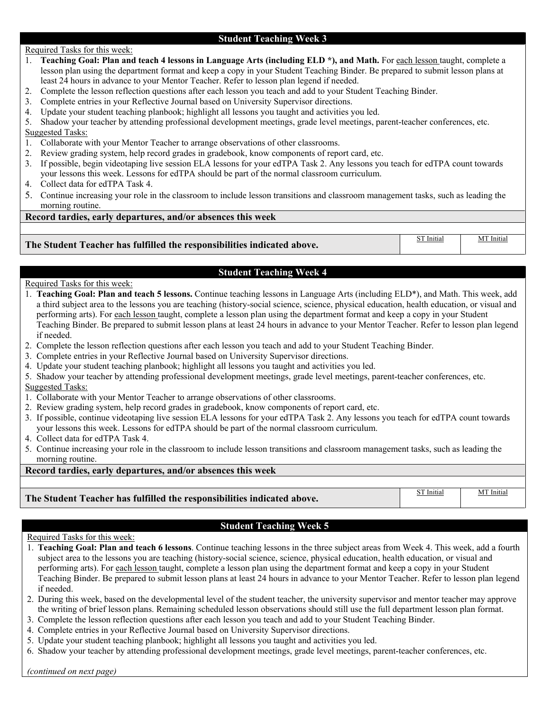# **Student Teaching Week 3**

### Required Tasks for this week:

- 1. **Teaching Goal: Plan and teach 4 lessons in Language Arts (including ELD \*), and Math.** For each lesson taught, complete a lesson plan using the department format and keep a copy in your Student Teaching Binder. Be prepared to submit lesson plans at least 24 hours in advance to your Mentor Teacher. Refer to lesson plan legend if needed.
- 2. Complete the lesson reflection questions after each lesson you teach and add to your Student Teaching Binder.
- 3. Complete entries in your Reflective Journal based on University Supervisor directions.
- 4. Update your student teaching planbook; highlight all lessons you taught and activities you led.
- 5. Shadow your teacher by attending professional development meetings, grade level meetings, parent-teacher conferences, etc.
- Suggested Tasks:
- 1. Collaborate with your Mentor Teacher to arrange observations of other classrooms.
- 2. Review grading system, help record grades in gradebook, know components of report card, etc.
- 3. If possible, begin videotaping live session ELA lessons for your edTPA Task 2. Any lessons you teach for edTPA count towards your lessons this week. Lessons for edTPA should be part of the normal classroom curriculum.
- 4. Collect data for edTPA Task 4.
- 5. Continue increasing your role in the classroom to include lesson transitions and classroom management tasks, such as leading the morning routine.

# **Record tardies, early departures, and/or absences this week**

**The Student Teacher has fulfilled the responsibilities indicated above.**

**Student Teaching Week 4**

### Required Tasks for this week:

- 1. **Teaching Goal: Plan and teach 5 lessons.** Continue teaching lessons in Language Arts (including ELD\*), and Math. This week, add a third subject area to the lessons you are teaching (history-social science, science, physical education, health education, or visual and performing arts). For each lesson taught, complete a lesson plan using the department format and keep a copy in your Student Teaching Binder. Be prepared to submit lesson plans at least 24 hours in advance to your Mentor Teacher. Refer to lesson plan legend if needed.
- 2. Complete the lesson reflection questions after each lesson you teach and add to your Student Teaching Binder.
- 3. Complete entries in your Reflective Journal based on University Supervisor directions.
- 4. Update your student teaching planbook; highlight all lessons you taught and activities you led.
- 5. Shadow your teacher by attending professional development meetings, grade level meetings, parent-teacher conferences, etc. Suggested Tasks:
- 1. Collaborate with your Mentor Teacher to arrange observations of other classrooms.
- 2. Review grading system, help record grades in gradebook, know components of report card, etc.
- 3. If possible, continue videotaping live session ELA lessons for your edTPA Task 2. Any lessons you teach for edTPA count towards your lessons this week. Lessons for edTPA should be part of the normal classroom curriculum.
- 4. Collect data for edTPA Task 4.
- 5. Continue increasing your role in the classroom to include lesson transitions and classroom management tasks, such as leading the morning routine.

# **Record tardies, early departures, and/or absences this week**

**The Student Teacher has fulfilled the responsibilities indicated above.**

ST Initial | MT Initial

ST Initial | MT Initial

# **Student Teaching Week 5**

### Required Tasks for this week:

- 1. **Teaching Goal: Plan and teach 6 lessons**. Continue teaching lessons in the three subject areas from Week 4. This week, add a fourth subject area to the lessons you are teaching (history-social science, science, physical education, health education, or visual and performing arts). For each lesson taught, complete a lesson plan using the department format and keep a copy in your Student Teaching Binder. Be prepared to submit lesson plans at least 24 hours in advance to your Mentor Teacher. Refer to lesson plan legend if needed.
- 2. During this week, based on the developmental level of the student teacher, the university supervisor and mentor teacher may approve the writing of brief lesson plans. Remaining scheduled lesson observations should still use the full department lesson plan format.
- 3. Complete the lesson reflection questions after each lesson you teach and add to your Student Teaching Binder.
- 4. Complete entries in your Reflective Journal based on University Supervisor directions.
- 5. Update your student teaching planbook; highlight all lessons you taught and activities you led.
- 6. Shadow your teacher by attending professional development meetings, grade level meetings, parent-teacher conferences, etc.

*(continued on next page)*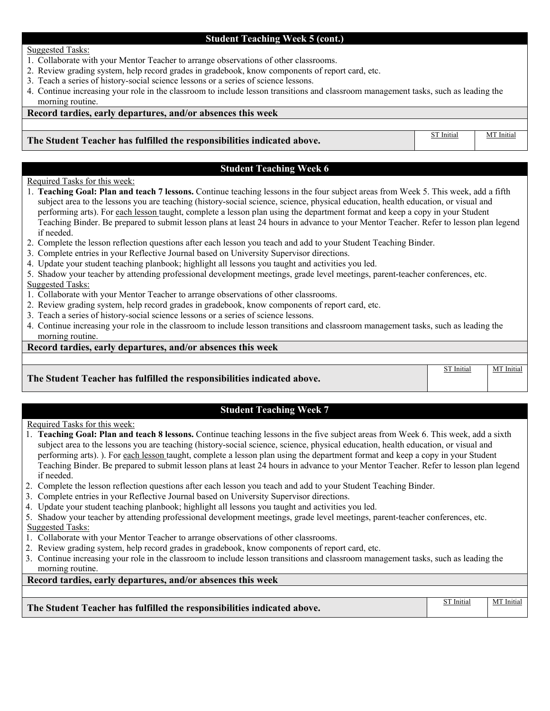# **Student Teaching Week 5 (cont.)**

### Suggested Tasks:

- 1. Collaborate with your Mentor Teacher to arrange observations of other classrooms.
- 2. Review grading system, help record grades in gradebook, know components of report card, etc.
- 3. Teach a series of history-social science lessons or a series of science lessons.
- 4. Continue increasing your role in the classroom to include lesson transitions and classroom management tasks, such as leading the morning routine.

# **Record tardies, early departures, and/or absences this week**

### **The Student Teacher has fulfilled the responsibilities indicated above.**

# **Student Teaching Week 6**

# Required Tasks for this week:

- 1. **Teaching Goal: Plan and teach 7 lessons.** Continue teaching lessons in the four subject areas from Week 5. This week, add a fifth subject area to the lessons you are teaching (history-social science, science, physical education, health education, or visual and performing arts). For each lesson taught, complete a lesson plan using the department format and keep a copy in your Student Teaching Binder. Be prepared to submit lesson plans at least 24 hours in advance to your Mentor Teacher. Refer to lesson plan legend if needed.
- 2. Complete the lesson reflection questions after each lesson you teach and add to your Student Teaching Binder.
- 3. Complete entries in your Reflective Journal based on University Supervisor directions.
- 4. Update your student teaching planbook; highlight all lessons you taught and activities you led.
- 5. Shadow your teacher by attending professional development meetings, grade level meetings, parent-teacher conferences, etc. Suggested Tasks:
- 1. Collaborate with your Mentor Teacher to arrange observations of other classrooms.
- 2. Review grading system, help record grades in gradebook, know components of report card, etc.
- 3. Teach a series of history-social science lessons or a series of science lessons.
- 4. Continue increasing your role in the classroom to include lesson transitions and classroom management tasks, such as leading the morning routine.

# **Record tardies, early departures, and/or absences this week**

# **The Student Teacher has fulfilled the responsibilities indicated above.**

# **Student Teaching Week 7**

### Required Tasks for this week:

- 1. **Teaching Goal: Plan and teach 8 lessons.** Continue teaching lessons in the five subject areas from Week 6. This week, add a sixth subject area to the lessons you are teaching (history-social science, science, physical education, health education, or visual and performing arts). ). For each lesson taught, complete a lesson plan using the department format and keep a copy in your Student Teaching Binder. Be prepared to submit lesson plans at least 24 hours in advance to your Mentor Teacher. Refer to lesson plan legend if needed.
- 2. Complete the lesson reflection questions after each lesson you teach and add to your Student Teaching Binder.
- 3. Complete entries in your Reflective Journal based on University Supervisor directions.
- 4. Update your student teaching planbook; highlight all lessons you taught and activities you led.
- 5. Shadow your teacher by attending professional development meetings, grade level meetings, parent-teacher conferences, etc. Suggested Tasks:
- 1. Collaborate with your Mentor Teacher to arrange observations of other classrooms.
- 2. Review grading system, help record grades in gradebook, know components of report card, etc.
- 3. Continue increasing your role in the classroom to include lesson transitions and classroom management tasks, such as leading the morning routine.

**Record tardies, early departures, and/or absences this week** 

| The Student Teacher has fulfilled the responsibilities indicated above. | ST Initial | MT Initial |
|-------------------------------------------------------------------------|------------|------------|
|-------------------------------------------------------------------------|------------|------------|

ST Initial | MT Initial

ST Initial MT Initial